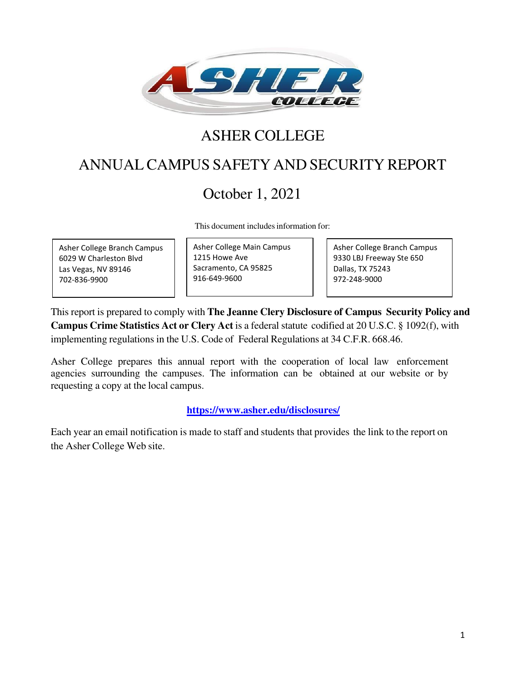

# ASHER COLLEGE

# ANNUAL CAMPUS SAFETY AND SECURITY REPORT

# October 1, 2021

This document includes information for:

Asher College Branch Campus 6029 W Charleston Blvd Las Vegas, NV 89146 702-836-9900

Asher College Main Campus 1215 Howe Ave Sacramento, CA 95825 916-649-9600

Asher College Branch Campus 9330 LBJ Freeway Ste 650 Dallas, TX 75243 972-248-9000

This report is prepared to comply with **The Jeanne Clery Disclosure of Campus Security Policy and Campus Crime Statistics Act or Clery Act** is a federal [statute](http://en.wikipedia.org/wiki/Statute) codified at [20 U.S.C.](http://en.wikipedia.org/wiki/Title_20_of_the_United_States_Code) [§ 1092\(f\),](http://www.law.cornell.edu/uscode/20/1092.html#f) with implementing regulations in th[e U.S.](http://en.wikipedia.org/wiki/United_States) [Code of](http://en.wikipedia.org/wiki/Code_of_Federal_Regulations) [Federal Regulations](http://en.wikipedia.org/wiki/Code_of_Federal_Regulations) a[t 34 C.F.R.](http://en.wikipedia.org/wiki/Title_34_of_the_Code_of_Federal_Regulations) [668.46.](http://frwebgate.access.gpo.gov/cgi-bin/get-cfr.cgi?TYPE=TEXT&amp%3BYEAR=current&amp%3BTITLE=34&amp%3BPART=668&amp%3BSECTION=46)

Asher College prepares this annual report with the cooperation of local law enforcement agencies surrounding the campuses. The information can be obtained at our website or by requesting a copy at the local campus.

### **<https://www.asher.edu/disclosures/>**

Each year an email notification is made to staff and students that provides the link to the report on the Asher College Web site.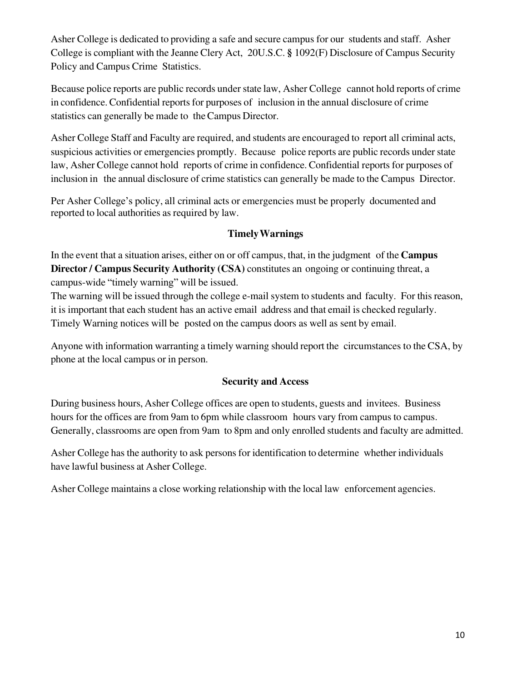Asher College is dedicated to providing a safe and secure campus for our students and staff. Asher College is compliant with the Jeanne Clery Act, 20U.S.C. **§** 1092(F) Disclosure of Campus Security Policy and Campus Crime Statistics.

Because police reports are public records under state law, Asher College cannot hold reports of crime in confidence. Confidential reports for purposes of inclusion in the annual disclosure of crime statistics can generally be made to the Campus Director.

Asher College Staff and Faculty are required, and students are encouraged to report all criminal acts, suspicious activities or emergencies promptly. Because police reports are public records under state law, Asher College cannot hold reports of crime in confidence. Confidential reports for purposes of inclusion in the annual disclosure of crime statistics can generally be made to the Campus Director.

Per Asher College's policy, all criminal acts or emergencies must be properly documented and reported to local authorities as required by law.

# **Timely Warnings**

In the event that a situation arises, either on or off campus, that, in the judgment of the **Campus Director / Campus Security Authority (CSA)** constitutes an ongoing or continuing threat, a campus-wide "timely warning" will be issued.

The warning will be issued through the college e-mail system to students and faculty. For this reason, it is important that each student has an active email address and that email is checked regularly. Timely Warning notices will be posted on the campus doors as well as sent by email.

Anyone with information warranting a timely warning should report the circumstances to the CSA, by phone at the local campus or in person.

### **Security and Access**

During business hours, Asher College offices are open to students, guests and invitees. Business hours for the offices are from 9am to 6pm while classroom hours vary from campus to campus. Generally, classrooms are open from 9am to 8pm and only enrolled students and faculty are admitted.

Asher College has the authority to ask persons for identification to determine whether individuals have lawful business at Asher College.

Asher College maintains a close working relationship with the local law enforcement agencies.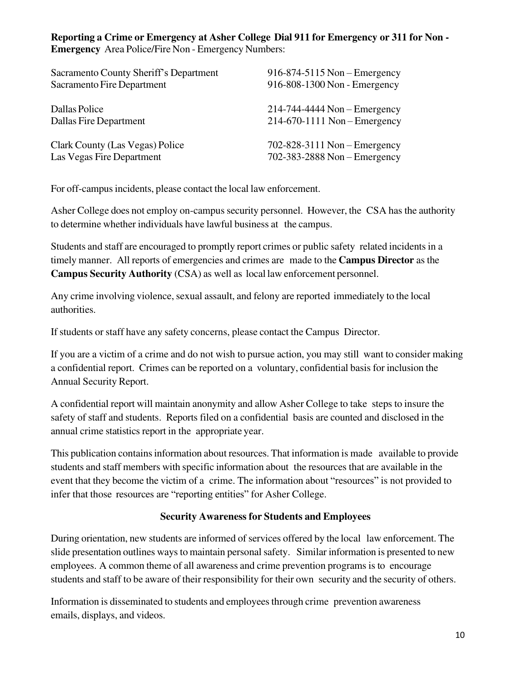### **Reporting a Crime or Emergency at Asher College Dial 911 for Emergency or 311 for Non - Emergency** Area Police/Fire Non - Emergency Numbers:

| Sacramento County Sheriff's Department | $916-874-5115$ Non – Emergency     |
|----------------------------------------|------------------------------------|
| Sacramento Fire Department             | 916-808-1300 Non - Emergency       |
| Dallas Police                          | $214-744-4444$ Non – Emergency     |
| Dallas Fire Department                 | $214-670-1111$ Non – Emergency     |
| Clark County (Las Vegas) Police        | $702 - 828 - 3111$ Non – Emergency |
| Las Vegas Fire Department              | $702-383-2888$ Non - Emergency     |

For off-campus incidents, please contact the local law enforcement.

Asher College does not employ on-campus security personnel. However, the CSA has the authority to determine whether individuals have lawful business at the campus.

Students and staff are encouraged to promptly report crimes or public safety related incidents in a timely manner. All reports of emergencies and crimes are made to the **Campus Director** as the **Campus Security Authority** (CSA) as well as local law enforcement personnel.

Any crime involving violence, sexual assault, and felony are reported immediately to the local authorities.

If students or staff have any safety concerns, please contact the Campus Director.

If you are a victim of a crime and do not wish to pursue action, you may still want to consider making a confidential report. Crimes can be reported on a voluntary, confidential basis for inclusion the Annual Security Report.

A confidential report will maintain anonymity and allow Asher College to take steps to insure the safety of staff and students. Reports filed on a confidential basis are counted and disclosed in the annual crime statistics report in the appropriate year.

This publication contains information about resources. That information is made available to provide students and staff members with specific information about the resources that are available in the event that they become the victim of a crime. The information about "resources" is not provided to infer that those resources are "reporting entities" for Asher College.

### **Security Awareness for Students and Employees**

During orientation, new students are informed of services offered by the local law enforcement. The slide presentation outlines ways to maintain personal safety. Similar information is presented to new employees. A common theme of all awareness and crime prevention programs is to encourage students and staff to be aware of their responsibility for their own security and the security of others.

Information is disseminated to students and employees through crime prevention awareness emails, displays, and videos.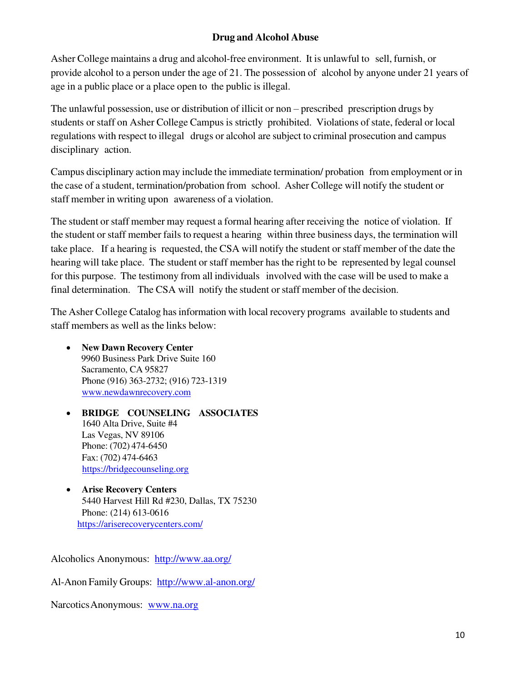# **Drug and Alcohol Abuse**

Asher College maintains a drug and alcohol-free environment. It is unlawful to sell, furnish, or provide alcohol to a person under the age of 21. The possession of alcohol by anyone under 21 years of age in a public place or a place open to the public is illegal.

The unlawful possession, use or distribution of illicit or non – prescribed prescription drugs by students or staff on Asher College Campus is strictly prohibited. Violations of state, federal or local regulations with respect to illegal drugs or alcohol are subject to criminal prosecution and campus disciplinary action.

Campus disciplinary action may include the immediate termination/ probation from employment or in the case of a student, termination/probation from school. Asher College will notify the student or staff member in writing upon awareness of a violation.

The student or staff member may request a formal hearing after receiving the notice of violation. If the student or staff member fails to request a hearing within three business days, the termination will take place. If a hearing is requested, the CSA will notify the student or staff member of the date the hearing will take place. The student or staff member has the right to be represented by legal counsel for this purpose. The testimony from all individuals involved with the case will be used to make a final determination. The CSA will notify the student or staff member of the decision.

The Asher College Catalog has information with local recovery programs available to students and staff members as well as the links below:

- **New Dawn Recovery Center**  9960 Business Park Drive Suite 160 Sacramento, CA 95827 Phone (916) 363-2732; (916) 723-1319 [www.newdawnrecovery.com](http://www.newdawnrecovery.com/)
- **BRIDGE COUNSELING ASSOCIATES** 1640 Alta Drive, Suite #4 Las Vegas, NV 89106 Phone: (702) 474-6450 Fax: (702) 474-6463 [https://bridgecounseling.org](https://bridgecounseling.org/)
- **Arise Recovery Centers** 5440 Harvest Hill Rd #230, Dallas, TX 75230 Phone: (214) 613-0616 <https://ariserecoverycenters.com/>

Alcoholics Anonymous: <http://www.aa.org/>

Al-Anon Family Groups: <http://www.al-anon.org/>

Narcotics Anonymous: [www.na.org](http://www.na.org/)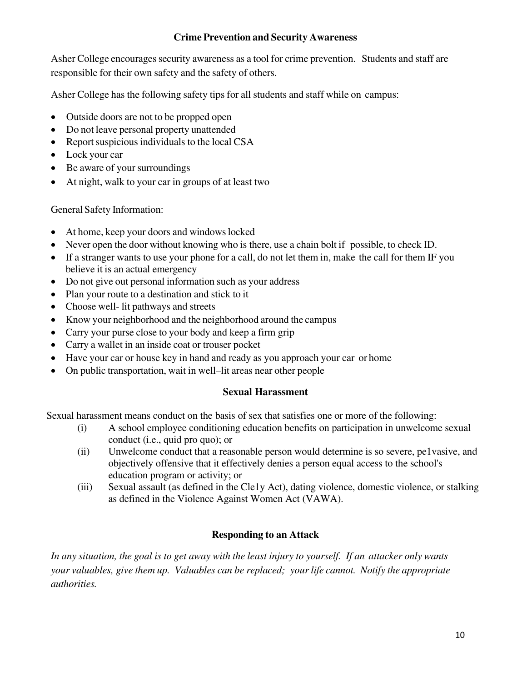# **Crime Prevention and Security Awareness**

Asher College encourages security awareness as a tool for crime prevention. Students and staff are responsible for their own safety and the safety of others.

Asher College has the following safety tips for all students and staff while on campus:

- Outside doors are not to be propped open
- Do not leave personal property unattended
- Report suspicious individuals to the local CSA
- Lock your car
- Be aware of your surroundings
- At night, walk to your car in groups of at least two

General Safety Information:

- At home, keep your doors and windows locked
- Never open the door without knowing who is there, use a chain bolt if possible, to check ID.
- If a stranger wants to use your phone for a call, do not let them in, make the call for them IF you believe it is an actual emergency
- Do not give out personal information such as your address
- Plan your route to a destination and stick to it
- Choose well- lit pathways and streets
- Know your neighborhood and the neighborhood around the campus
- Carry your purse close to your body and keep a firm grip
- Carry a wallet in an inside coat or trouser pocket
- Have your car or house key in hand and ready as you approach your car or home
- On public transportation, wait in well–lit areas near other people

### **Sexual Harassment**

Sexual harassment means conduct on the basis of sex that satisfies one or more of the following:

- (i) A school employee conditioning education benefits on participation in unwelcome sexual conduct (i.e., quid pro quo); or
- (ii) Unwelcome conduct that a reasonable person would determine is so severe, pe1vasive, and objectively offensive that it effectively denies a person equal access to the school's education program or activity; or
- (iii) Sexual assault (as defined in the Cle1y Act), dating violence, domestic violence, or stalking as defined in the Violence Against Women Act (VAWA).

# **Responding to an Attack**

*In any situation, the goal is to get away with the least injury to yourself. If an attacker only wants your valuables, give them up. Valuables can be replaced; your life cannot. Notify the appropriate authorities.*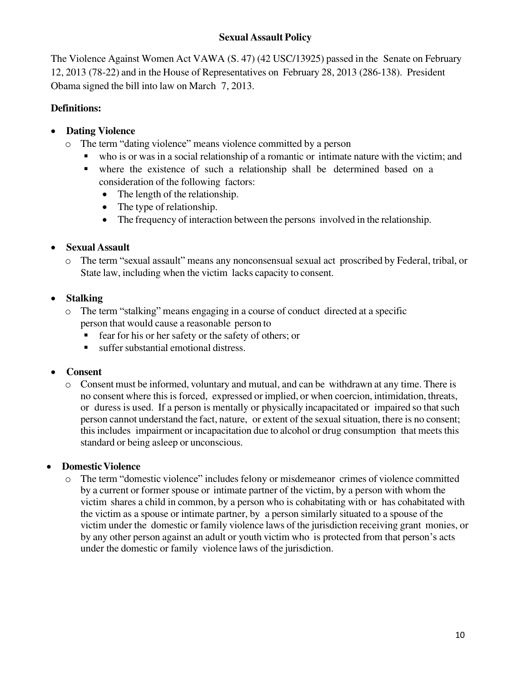# **Sexual Assault Policy**

The Violence Against Women Act VAWA (S. 47) (42 USC/13925) passed in the Senate on February 12, 2013 [\(78-22\)](http://www.senate.gov/legislative/LIS/roll_call_lists/roll_call_vote_cfm.cfm?congress=113&amp%3Bsession=1&amp%3Bvote=00019) and in the House of Representatives on February 28, 2013 [\(286-138\).](http://clerk.house.gov/evs/2013/roll055.xml) President Obama signed the bill into law on March 7, 2013.

# **Definitions:**

# • **Dating Violence**

- o The term "dating violence" means violence committed by a person
	- who is or was in a social relationship of a romantic or intimate nature with the victim; and
	- where the existence of such a relationship shall be determined based on a consideration of the following factors:
		- The length of the relationship.
		- The type of relationship.
		- The frequency of interaction between the persons involved in the relationship.

# • **Sexual Assault**

o The term "sexual assault" means any nonconsensual sexual act proscribed by Federal, tribal, or State law, including when the victim lacks capacity to consent.

# • **Stalking**

- o The term "stalking" means engaging in a course of conduct directed at a specific person that would cause a reasonable person to
	- fear for his or her safety or the safety of others; or
	- suffer substantial emotional distress.

### • **Consent**

o Consent must be informed, voluntary and mutual, and can be withdrawn at any time. There is no consent where this is forced, expressed or implied, or when coercion, intimidation, threats, or duress is used. If a person is mentally or physically incapacitated or impaired so that such person cannot understand the fact, nature, or extent of the sexual situation, there is no consent; this includes impairment or incapacitation due to alcohol or drug consumption that meets this standard or being asleep or unconscious.

### • **Domestic Violence**

o The term "domestic violence" includes felony or misdemeanor crimes of violence committed by a current or former spouse or intimate partner of the victim, by a person with whom the victim shares a child in common, by a person who is cohabitating with or has cohabitated with the victim as a spouse or intimate partner, by a person similarly situated to a spouse of the victim under the domestic or family violence laws of the jurisdiction receiving grant monies, or by any other person against an adult or youth victim who is protected from that person's acts under the domestic or family violence laws of the jurisdiction.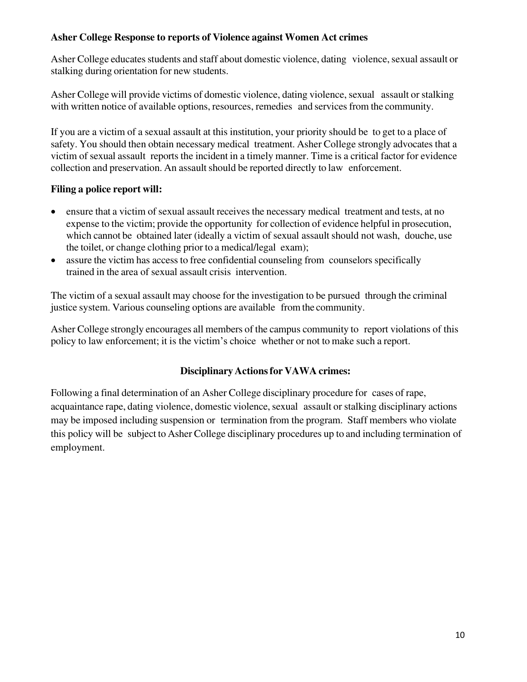### **Asher College Response to reports of Violence against Women Act crimes**

Asher College educates students and staff about domestic violence, dating violence, sexual assault or stalking during orientation for new students.

Asher College will provide victims of domestic violence, dating violence, sexual assault or stalking with written notice of available options, resources, remedies and services from the community.

If you are a victim of a sexual assault at this institution, your priority should be to get to a place of safety. You should then obtain necessary medical treatment. Asher College strongly advocates that a victim of sexual assault reports the incident in a timely manner. Time is a critical factor for evidence collection and preservation. An assault should be reported directly to law enforcement.

#### **Filing a police report will:**

- ensure that a victim of sexual assault receives the necessary medical treatment and tests, at no expense to the victim; provide the opportunity for collection of evidence helpful in prosecution, which cannot be obtained later (ideally a victim of sexual assault should not wash, douche, use the toilet, or change clothing prior to a medical/legal exam);
- assure the victim has access to free confidential counseling from counselors specifically trained in the area of sexual assault crisis intervention.

The victim of a sexual assault may choose for the investigation to be pursued through the criminal justice system. Various counseling options are available from the community.

Asher College strongly encourages all members of the campus community to report violations of this policy to law enforcement; it is the victim's choice whether or not to make such a report.

### **Disciplinary Actions for VAWA crimes:**

Following a final determination of an Asher College disciplinary procedure for cases of rape, acquaintance rape, dating violence, domestic violence, sexual assault or stalking disciplinary actions may be imposed including suspension or termination from the program. Staff members who violate this policy will be subject to Asher College disciplinary procedures up to and including termination of employment.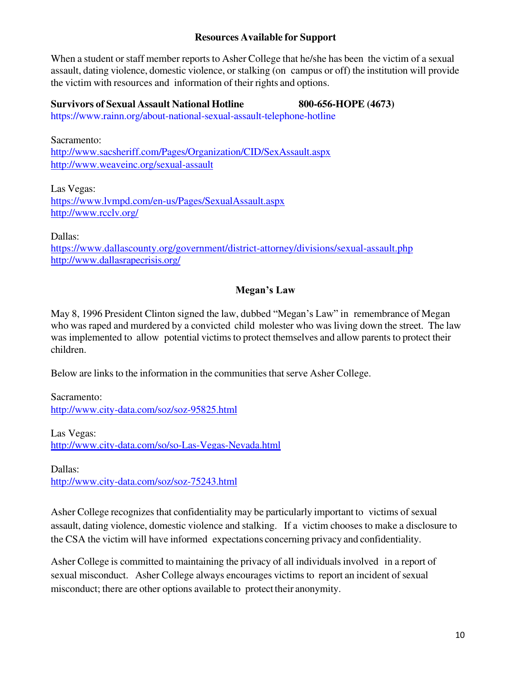#### **Resources Available for Support**

When a student or staff member reports to Asher College that he/she has been the victim of a sexual assault, dating violence, domestic violence, or stalking (on campus or off) the institution will provide the victim with resources and information of their rights and options.

**Survivors of Sexual Assault National Hotline 800-656-HOPE (4673)**  <https://www.rainn.org/about-national-sexual-assault-telephone-hotline>

Sacramento: <http://www.sacsheriff.com/Pages/Organization/CID/SexAssault.aspx> <http://www.weaveinc.org/sexual-assault>

Las Vegas: <https://www.lvmpd.com/en-us/Pages/SexualAssault.aspx> <http://www.rcclv.org/>

Dallas:

<https://www.dallascounty.org/government/district-attorney/divisions/sexual-assault.php> <http://www.dallasrapecrisis.org/>

# **Megan's Law**

May 8, 1996 President Clinton signed the law, dubbed "Megan's Law" in remembrance of Megan who was raped and murdered by a convicted child molester who was living down the street. The law was implemented to allow potential victims to protect themselves and allow parents to protect their children.

Below are links to the information in the communities that serve Asher College.

Sacramento: <http://www.city-data.com/soz/soz-95825.html>

Las Vegas: <http://www.city-data.com/so/so-Las-Vegas-Nevada.html>

Dallas: <http://www.city-data.com/soz/soz-75243.html>

Asher College recognizes that confidentiality may be particularly important to victims of sexual assault, dating violence, domestic violence and stalking. If a victim chooses to make a disclosure to the CSA the victim will have informed expectations concerning privacy and confidentiality.

Asher College is committed to maintaining the privacy of all individuals involved in a report of sexual misconduct. Asher College always encourages victims to report an incident of sexual misconduct; there are other options available to protect their anonymity.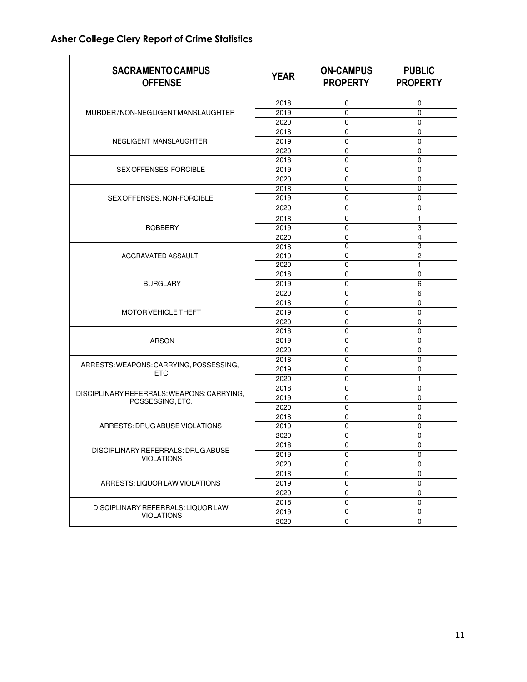# **Asher College Clery Report of Crime Statistics**

| <b>SACRAMENTO CAMPUS</b><br><b>OFFENSE</b>              | <b>YEAR</b> | <b>ON-CAMPUS</b><br><b>PROPERTY</b> | <b>PUBLIC</b><br><b>PROPERTY</b> |
|---------------------------------------------------------|-------------|-------------------------------------|----------------------------------|
|                                                         | 2018        | 0                                   | 0                                |
| MURDER/NON-NEGLIGENT MANSLAUGHTER                       | 2019        | 0                                   | 0                                |
|                                                         | 2020        | 0                                   | 0                                |
|                                                         | 2018        | 0                                   | 0                                |
| NEGLIGENT MANSLAUGHTER                                  | 2019        | 0                                   | 0                                |
|                                                         | 2020        | 0                                   | 0                                |
|                                                         | 2018        | 0                                   | 0                                |
| SEX OFFENSES, FORCIBLE                                  | 2019        | 0                                   | 0                                |
|                                                         | 2020        | 0                                   | 0                                |
|                                                         | 2018        | 0                                   | 0                                |
| SEX OFFENSES, NON-FORCIBLE                              | 2019        | 0                                   | 0                                |
|                                                         | 2020        | 0                                   | 0                                |
|                                                         | 2018        | 0                                   | 1                                |
|                                                         |             |                                     |                                  |
| <b>ROBBERY</b>                                          | 2019        | 0                                   | 3                                |
|                                                         | 2020        | 0<br>$\overline{0}$                 | $\overline{\mathbf{4}}$          |
|                                                         | 2018        |                                     | 3                                |
| AGGRAVATED ASSAULT                                      | 2019        | 0                                   | 2                                |
|                                                         | 2020        | 0                                   | 1                                |
|                                                         | 2018        | $\mathbf 0$                         | 0                                |
| <b>BURGLARY</b>                                         | 2019        | 0                                   | 6                                |
|                                                         | 2020        | 0                                   | 6                                |
|                                                         | 2018        | 0                                   | 0                                |
| <b>MOTOR VEHICLE THEFT</b>                              | 2019        | 0                                   | 0                                |
|                                                         | 2020        | 0                                   | 0                                |
|                                                         | 2018        | 0                                   | 0                                |
| <b>ARSON</b>                                            | 2019        | 0                                   | 0                                |
|                                                         | 2020        | 0                                   | 0                                |
| ARRESTS: WEAPONS: CARRYING, POSSESSING,                 | 2018        | 0                                   | 0                                |
| ETC.                                                    | 2019        | 0                                   | 0                                |
|                                                         | 2020        | 0                                   | 1                                |
| DISCIPLINARY REFERRALS: WEAPONS: CARRYING,              | 2018        | 0                                   | 0                                |
| POSSESSING, ETC.                                        | 2019        | 0                                   | 0                                |
|                                                         | 2020        | 0                                   | 0                                |
|                                                         | 2018        | 0                                   | 0                                |
| ARRESTS: DRUG ABUSE VIOLATIONS                          | 2019        | 0                                   | 0                                |
|                                                         | 2020        | 0                                   | 0                                |
|                                                         | 2018        | 0                                   | 0                                |
| DISCIPLINARY REFERRALS: DRUG ABUSE<br><b>VIOLATIONS</b> | 2019        | $\mathbf 0$                         | 0                                |
|                                                         | 2020        | $\pmb{0}$                           | 0                                |
|                                                         | 2018        | $\pmb{0}$                           | 0                                |
| ARRESTS: LIQUOR LAW VIOLATIONS                          | 2019        | $\pmb{0}$                           | $\pmb{0}$                        |
|                                                         | 2020        | $\pmb{0}$                           | 0                                |
|                                                         | 2018        | 0                                   | 0                                |
| DISCIPLINARY REFERRALS: LIQUOR LAW<br><b>VIOLATIONS</b> | 2019        | $\pmb{0}$                           | $\pmb{0}$                        |
|                                                         | 2020        | 0                                   | 0                                |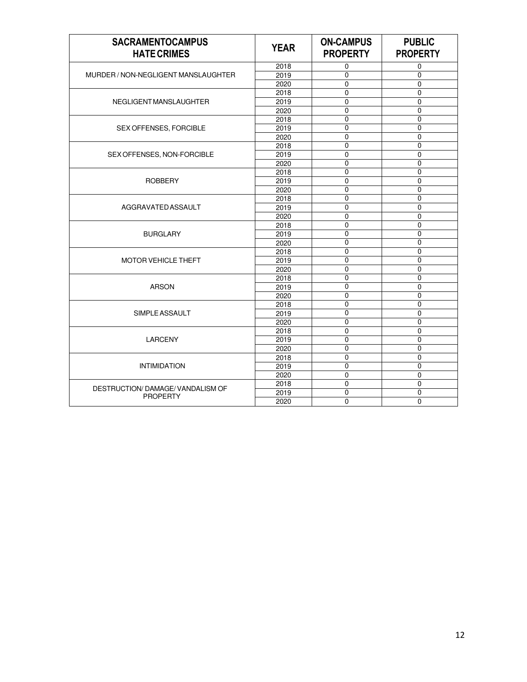| <b>SACRAMENTOCAMPUS</b><br><b>HATE CRIMES</b> | <b>YEAR</b> | <b>ON-CAMPUS</b><br><b>PROPERTY</b> | <b>PUBLIC</b><br><b>PROPERTY</b> |
|-----------------------------------------------|-------------|-------------------------------------|----------------------------------|
|                                               | 2018        | $\mathbf 0$                         | 0                                |
| MURDER / NON-NEGLIGENT MANSLAUGHTER           | 2019        | 0                                   | $\mathbf 0$                      |
|                                               | 2020        | $\mathbf 0$                         | 0                                |
|                                               | 2018        | $\mathbf 0$                         | $\mathbf 0$                      |
| NEGLIGENT MANSLAUGHTER                        | 2019        | $\Omega$                            | $\Omega$                         |
|                                               | 2020        | $\mathbf 0$                         | $\mathbf 0$                      |
|                                               | 2018        | $\mathbf 0$                         | $\mathbf 0$                      |
| SEX OFFENSES, FORCIBLE                        | 2019        | $\overline{0}$                      | $\overline{0}$                   |
|                                               | 2020        | $\overline{0}$                      | $\overline{0}$                   |
|                                               | 2018        | $\mathbf 0$                         | $\mathbf 0$                      |
| SEX OFFENSES, NON-FORCIBLE                    | 2019        | $\mathbf 0$                         | $\mathbf 0$                      |
|                                               | 2020        | $\boldsymbol{0}$                    | $\pmb{0}$                        |
|                                               | 2018        | $\mathbf 0$                         | $\mathbf 0$                      |
| <b>ROBBERY</b>                                | 2019        | $\overline{0}$                      | $\mathbf 0$                      |
|                                               | 2020        | $\mathbf 0$                         | $\mathbf 0$                      |
|                                               | 2018        | $\mathbf 0$                         | $\mathbf 0$                      |
| AGGRAVATED ASSAULT                            | 2019        | $\mathbf 0$                         | $\mathbf 0$                      |
|                                               | 2020        | $\overline{0}$                      | $\overline{0}$                   |
|                                               | 2018        | 0                                   | $\mathbf 0$                      |
| <b>BURGLARY</b>                               | 2019        | 0                                   | $\mathbf 0$                      |
|                                               | 2020        | 0                                   | $\mathbf 0$                      |
|                                               | 2018        | $\pmb{0}$                           | $\mathbf 0$                      |
| <b>MOTOR VEHICLE THEFT</b>                    | 2019        | $\overline{0}$                      | $\Omega$                         |
|                                               | 2020        | $\mathbf 0$                         | $\mathbf 0$                      |
|                                               | 2018        | $\mathbf 0$                         | $\mathbf 0$                      |
| <b>ARSON</b>                                  | 2019        | $\overline{0}$                      | $\mathbf 0$                      |
|                                               | 2020        | $\overline{0}$                      | $\overline{0}$                   |
|                                               | 2018        | $\mathbf 0$                         | $\mathbf 0$                      |
| SIMPLE ASSAULT                                | 2019        | 0                                   | $\mathbf 0$                      |
|                                               | 2020        | 0                                   | $\mathbf 0$                      |
|                                               | 2018        | $\overline{0}$                      | $\mathbf 0$                      |
| <b>LARCENY</b>                                | 2019        | $\overline{0}$                      | $\overline{0}$                   |
|                                               | 2020        | $\mathbf 0$                         | $\mathbf 0$                      |
|                                               | 2018        | $\mathbf 0$                         | $\mathbf 0$                      |
| <b>INTIMIDATION</b>                           | 2019        | $\overline{0}$                      | $\overline{0}$                   |
|                                               | 2020        | $\mathbf 0$                         | $\mathbf 0$                      |
| <b>DESTRUCTION/ DAMAGE/ VANDALISM OF</b>      | 2018        | 0                                   | $\mathbf 0$                      |
| <b>PROPERTY</b>                               | 2019        | 0                                   | $\mathbf 0$                      |
|                                               | 2020        | $\mathbf 0$                         | $\mathbf 0$                      |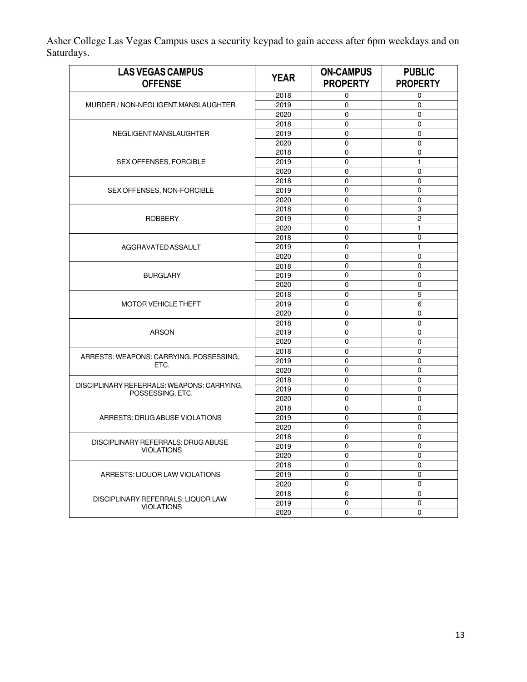Asher College Las Vegas Campus uses a security keypad to gain access after 6pm weekdays and on Saturdays.

| <b>LAS VEGAS CAMPUS</b><br><b>OFFENSE</b>  | <b>YEAR</b> | <b>ON-CAMPUS</b><br><b>PROPERTY</b> | <b>PUBLIC</b><br><b>PROPERTY</b> |
|--------------------------------------------|-------------|-------------------------------------|----------------------------------|
|                                            | 2018        | 0                                   | 0                                |
| MURDER / NON-NEGLIGENT MANSLAUGHTER        | 2019        | $\mathbf 0$                         | $\mathbf 0$                      |
|                                            | 2020        | $\mathbf 0$                         | 0                                |
|                                            | 2018        | $\mathbf 0$                         | 0                                |
| NEGLIGENT MANSLAUGHTER                     | 2019        | 0                                   | $\mathbf 0$                      |
|                                            | 2020        | $\pmb{0}$                           | 0                                |
|                                            | 2018        | 0                                   | 0                                |
| SEX OFFENSES, FORCIBLE                     | 2019        | 0                                   | 1                                |
|                                            | 2020        | $\mathbf 0$                         | 0                                |
|                                            | 2018        | $\mathbf 0$                         | 0                                |
| SEX OFFENSES, NON-FORCIBLE                 | 2019        | $\overline{0}$                      | 0                                |
|                                            | 2020        | $\mathbf 0$                         | 0                                |
|                                            | 2018        | 0                                   | 3                                |
| <b>ROBBERY</b>                             | 2019        | $\mathbf 0$                         | 2                                |
|                                            | 2020        | $\mathbf 0$                         | $\mathbf{1}$                     |
|                                            | 2018        | $\mathbf 0$                         | 0                                |
| AGGRAVATED ASSAULT                         | 2019        | $\boldsymbol{0}$                    | $\mathbf{1}$                     |
|                                            | 2020        | 0                                   | 0                                |
|                                            | 2018        | 0                                   | 0                                |
| <b>BURGLARY</b>                            | 2019        | $\boldsymbol{0}$                    | 0                                |
|                                            | 2020        | $\mathbf 0$                         | 0                                |
|                                            | 2018        | $\mathbf 0$                         | 5                                |
| <b>MOTOR VEHICLE THEFT</b>                 | 2019        | $\mathbf 0$                         | 6                                |
|                                            | 2020        | $\mathbf 0$                         | 0                                |
|                                            | 2018        | 0                                   | 0                                |
| <b>ARSON</b>                               | 2019        | 0                                   | 0                                |
|                                            | 2020        | $\mathbf 0$                         | 0                                |
|                                            | 2018        | $\mathbf 0$                         | 0                                |
| ARRESTS: WEAPONS: CARRYING, POSSESSING,    | 2019        | 0                                   | 0                                |
| ETC.                                       | 2020        | $\mathbf 0$                         | $\mathbf 0$                      |
|                                            | 2018        | 0                                   | 0                                |
| DISCIPLINARY REFERRALS: WEAPONS: CARRYING, | 2019        | $\mathbf 0$                         | 0                                |
| POSSESSING, ETC.                           | 2020        | 0                                   | 0                                |
|                                            | 2018        | 0                                   | 0                                |
| ARRESTS: DRUG ABUSE VIOLATIONS             | 2019        | $\mathbf 0$                         | 0                                |
|                                            | 2020        | $\mathbf 0$                         | 0                                |
|                                            | 2018        | 0                                   | 0                                |
| DISCIPLINARY REFERRALS: DRUG ABUSE         | 2019        | $\mathbf 0$                         | 0                                |
| <b>VIOLATIONS</b>                          | 2020        | $\mathbf 0$                         | 0                                |
|                                            | 2018        | $\mathbf 0$                         | 0                                |
| ARRESTS: LIQUOR LAW VIOLATIONS             | 2019        | $\pmb{0}$                           | $\pmb{0}$                        |
|                                            | 2020        | $\mathbf 0$                         | 0                                |
|                                            | 2018        | 0                                   | 0                                |
| DISCIPLINARY REFERRALS: LIQUOR LAW         | 2019        | $\mathbf 0$                         | $\mathbf 0$                      |
| <b>VIOLATIONS</b>                          | 2020        | $\mathbf 0$                         | $\mathbf 0$                      |
|                                            |             |                                     |                                  |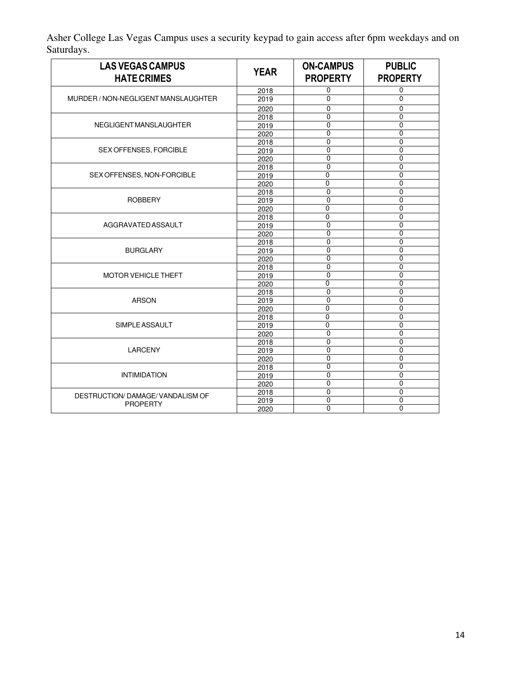Asher College Las Vegas Campus uses a security keypad to gain access after 6pm weekdays and on Saturdays.

| <b>LAS VEGAS CAMPUS</b><br><b>HATE CRIMES</b> | <b>YEAR</b> | <b>ON-CAMPUS</b><br><b>PROPERTY</b> | <b>PUBLIC</b><br><b>PROPERTY</b> |
|-----------------------------------------------|-------------|-------------------------------------|----------------------------------|
|                                               | 2018        | 0                                   | 0                                |
| MURDER / NON-NEGLIGENT MANSLAUGHTER           | 2019        | 0                                   | $\Omega$                         |
|                                               | 2020        | $\Omega$                            | 0                                |
|                                               | 2018        | 0                                   | 0                                |
| NEGLIGENT MANSLAUGHTER                        | 2019        | $\Omega$                            | $\Omega$                         |
|                                               | 2020        | $\mathbf 0$                         | 0                                |
|                                               | 2018        | $\mathbf 0$                         | 0                                |
| SEX OFFENSES, FORCIBLE                        | 2019        | $\overline{0}$                      | $\overline{0}$                   |
|                                               | 2020        | $\Omega$                            | 0                                |
|                                               | 2018        | $\mathbf 0$                         | $\mathbf 0$                      |
| SEX OFFENSES, NON-FORCIBLE                    | 2019        | 0                                   | 0                                |
|                                               | 2020        | 0                                   | 0                                |
|                                               | 2018        | $\overline{0}$                      | $\overline{0}$                   |
| <b>ROBBERY</b>                                | 2019        | $\mathbf 0$                         | $\mathbf 0$                      |
|                                               | 2020        | 0                                   | 0                                |
|                                               | 2018        | $\overline{0}$                      | $\mathbf 0$                      |
| AGGRAVATED ASSAULT                            | 2019        | $\mathbf 0$                         | $\mathbf 0$                      |
|                                               | 2020        | $\mathbf 0$                         | $\mathbf 0$                      |
|                                               | 2018        | 0                                   | $\Omega$                         |
| <b>BURGLARY</b>                               | 2019        | 0                                   | $\mathbf 0$                      |
|                                               | 2020        | $\overline{0}$                      | $\overline{0}$                   |
|                                               | 2018        | $\Omega$                            | $\Omega$                         |
| <b>MOTOR VEHICLE THEFT</b>                    | 2019        | 0                                   | 0                                |
|                                               | 2020        | 0                                   | $\mathbf 0$                      |
|                                               | 2018        | $\overline{0}$                      | $\overline{0}$                   |
| <b>ARSON</b>                                  | 2019        | $\Omega$                            | 0                                |
|                                               | 2020        | 0                                   | $\mathbf 0$                      |
|                                               | 2018        | 0                                   | $\Omega$                         |
| SIMPLE ASSAULT                                | 2019        | $\overline{0}$                      | $\overline{0}$                   |
|                                               | 2020        | $\overline{0}$                      | $\overline{0}$                   |
| <b>LARCENY</b>                                | 2018        | $\Omega$                            | 0                                |
|                                               | 2019        | 0                                   | $\mathbf 0$                      |
|                                               | 2020        | $\overline{0}$                      | $\overline{0}$                   |
|                                               | 2018        | $\overline{0}$                      | $\overline{0}$                   |
| <b>INTIMIDATION</b>                           | 2019        | 0                                   | 0                                |
|                                               | 2020        | 0                                   | 0                                |
| DESTRUCTION/ DAMAGE/ VANDALISM OF             | 2018        | 0                                   | $\mathbf 0$                      |
| <b>PROPERTY</b>                               | 2019        | 0                                   | 0                                |
|                                               | 2020        | $\mathbf 0$                         | 0                                |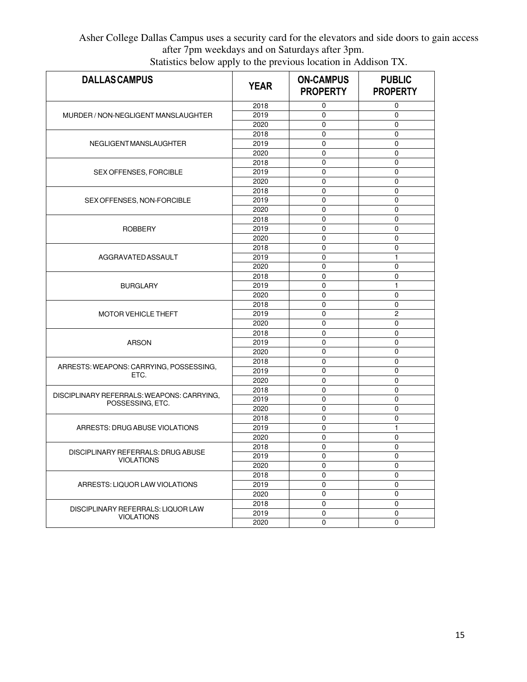# Asher College Dallas Campus uses a security card for the elevators and side doors to gain access after 7pm weekdays and on Saturdays after 3pm.

| <b>DALLASCAMPUS</b>                        | <b>YEAR</b> | <b>ON-CAMPUS</b><br><b>PROPERTY</b> | <b>PUBLIC</b><br><b>PROPERTY</b> |
|--------------------------------------------|-------------|-------------------------------------|----------------------------------|
|                                            | 2018        | 0                                   | 0                                |
| MURDER / NON-NEGLIGENT MANSLAUGHTER        | 2019        | 0                                   | 0                                |
|                                            | 2020        | 0                                   | 0                                |
|                                            | 2018        | 0                                   | 0                                |
| NEGLIGENT MANSLAUGHTER                     | 2019        | 0                                   | 0                                |
|                                            | 2020        | $\mathbf 0$                         | 0                                |
|                                            | 2018        | 0                                   | 0                                |
| SEX OFFENSES, FORCIBLE                     | 2019        | 0                                   | 0                                |
|                                            | 2020        | 0                                   | 0                                |
|                                            | 2018        | 0                                   | 0                                |
| SEX OFFENSES, NON-FORCIBLE                 | 2019        | 0                                   | 0                                |
|                                            | 2020        | $\mathbf 0$                         | 0                                |
|                                            | 2018        | 0                                   | 0                                |
| <b>ROBBERY</b>                             | 2019        | 0                                   | 0                                |
|                                            | 2020        | $\mathbf 0$                         | 0                                |
|                                            | 2018        | 0                                   | 0                                |
| AGGRAVATED ASSAULT                         | 2019        | 0                                   | 1                                |
|                                            | 2020        | $\mathbf 0$                         | 0                                |
|                                            | 2018        | 0                                   | 0                                |
| <b>BURGLARY</b>                            | 2019        | 0                                   | 1                                |
|                                            | 2020        | 0                                   | 0                                |
|                                            | 2018        | 0                                   | 0                                |
| <b>MOTOR VEHICLE THEFT</b>                 | 2019        | 0                                   | 2                                |
|                                            | 2020        | $\mathbf 0$                         | 0                                |
|                                            | 2018        | 0                                   | 0                                |
| <b>ARSON</b>                               | 2019        | 0                                   | 0                                |
|                                            | 2020        | 0                                   | 0                                |
|                                            | 2018        | 0                                   | 0                                |
| ARRESTS: WEAPONS: CARRYING, POSSESSING,    | 2019        | 0                                   | 0                                |
| ETC.                                       | 2020        | $\mathbf 0$                         | 0                                |
|                                            | 2018        | 0                                   | 0                                |
| DISCIPLINARY REFERRALS: WEAPONS: CARRYING, | 2019        | 0                                   | 0                                |
| POSSESSING, ETC.                           | 2020        | 0                                   | 0                                |
|                                            | 2018        | 0                                   | 0                                |
| ARRESTS: DRUG ABUSE VIOLATIONS             | 2019        | 0                                   | 1                                |
|                                            | 2020        | $\mathbf 0$                         | 0                                |
|                                            | 2018        | 0                                   | 0                                |
| DISCIPLINARY REFERRALS: DRUG ABUSE         | 2019        | 0                                   | 0                                |
| <b>VIOLATIONS</b>                          | 2020        | $\mathbf 0$                         | 0                                |
|                                            | 2018        | 0                                   | 0                                |
| ARRESTS: LIQUOR LAW VIOLATIONS             | 2019        | 0                                   | 0                                |
|                                            | 2020        | $\mathbf 0$                         | 0                                |
|                                            | 2018        | $\mathbf 0$                         | 0                                |
| DISCIPLINARY REFERRALS: LIQUOR LAW         | 2019        | $\mathbf 0$                         | $\mathbf 0$                      |
| <b>VIOLATIONS</b>                          | 2020        | $\mathbf 0$                         | 0                                |

Statistics below apply to the previous location in Addison TX.